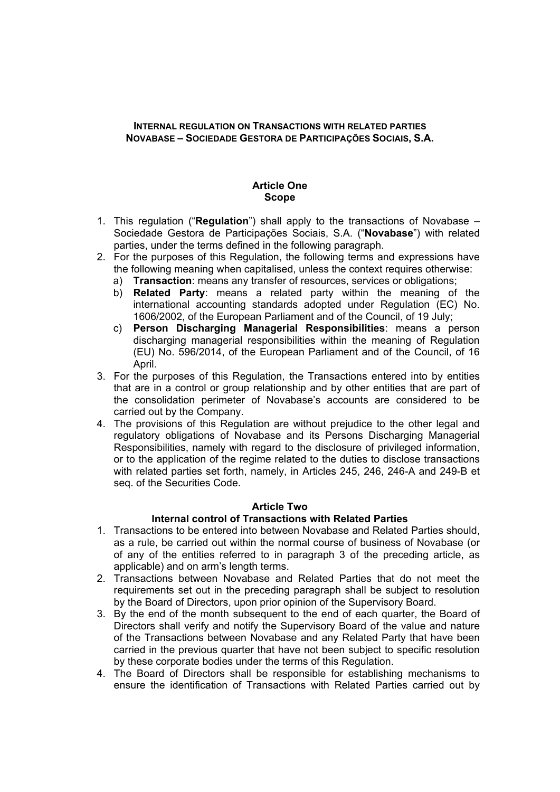# **INTERNAL REGULATION ON TRANSACTIONS WITH RELATED PARTIES NOVABASE – SOCIEDADE GESTORA DE PARTICIPAÇÕES SOCIAIS, S.A.**

# **Article One Scope**

- 1. This regulation ("**Regulation**") shall apply to the transactions of Novabase Sociedade Gestora de Participações Sociais, S.A. ("**Novabase**") with related parties, under the terms defined in the following paragraph.
- 2. For the purposes of this Regulation, the following terms and expressions have the following meaning when capitalised, unless the context requires otherwise:
	- a) **Transaction**: means any transfer of resources, services or obligations;
	- b) **Related Party**: means a related party within the meaning of the international accounting standards adopted under Regulation (EC) No. 1606/2002, of the European Parliament and of the Council, of 19 July;
	- c) **Person Discharging Managerial Responsibilities**: means a person discharging managerial responsibilities within the meaning of Regulation (EU) No. 596/2014, of the European Parliament and of the Council, of 16 April.
- 3. For the purposes of this Regulation, the Transactions entered into by entities that are in a control or group relationship and by other entities that are part of the consolidation perimeter of Novabase's accounts are considered to be carried out by the Company.
- 4. The provisions of this Regulation are without prejudice to the other legal and regulatory obligations of Novabase and its Persons Discharging Managerial Responsibilities, namely with regard to the disclosure of privileged information, or to the application of the regime related to the duties to disclose transactions with related parties set forth, namely, in Articles 245, 246, 246-A and 249-B et seq. of the Securities Code.

### **Article Two**

### **Internal control of Transactions with Related Parties**

- 1. Transactions to be entered into between Novabase and Related Parties should, as a rule, be carried out within the normal course of business of Novabase (or of any of the entities referred to in paragraph 3 of the preceding article, as applicable) and on arm's length terms.
- 2. Transactions between Novabase and Related Parties that do not meet the requirements set out in the preceding paragraph shall be subject to resolution by the Board of Directors, upon prior opinion of the Supervisory Board.
- 3. By the end of the month subsequent to the end of each quarter, the Board of Directors shall verify and notify the Supervisory Board of the value and nature of the Transactions between Novabase and any Related Party that have been carried in the previous quarter that have not been subject to specific resolution by these corporate bodies under the terms of this Regulation.
- 4. The Board of Directors shall be responsible for establishing mechanisms to ensure the identification of Transactions with Related Parties carried out by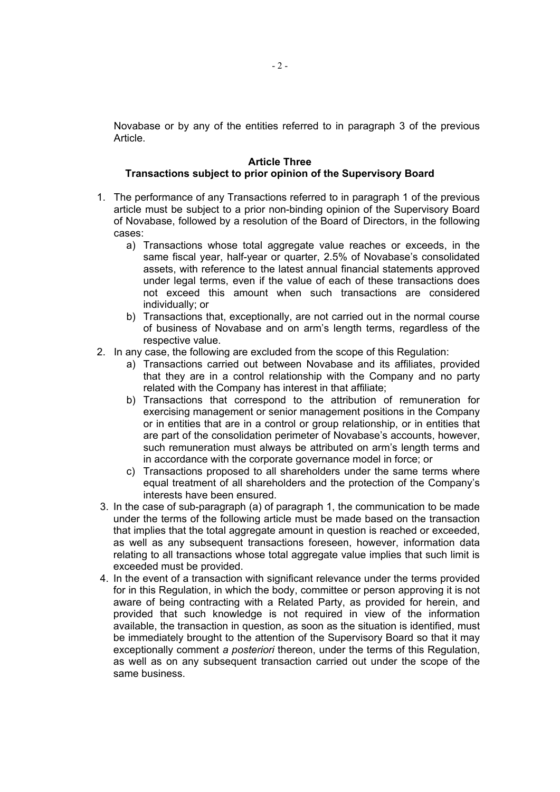Novabase or by any of the entities referred to in paragraph 3 of the previous Article.

### **Article Three Transactions subject to prior opinion of the Supervisory Board**

- 1. The performance of any Transactions referred to in paragraph 1 of the previous article must be subject to a prior non-binding opinion of the Supervisory Board of Novabase, followed by a resolution of the Board of Directors, in the following cases:
	- a) Transactions whose total aggregate value reaches or exceeds, in the same fiscal year, half-year or quarter, 2.5% of Novabase's consolidated assets, with reference to the latest annual financial statements approved under legal terms, even if the value of each of these transactions does not exceed this amount when such transactions are considered individually; or
	- b) Transactions that, exceptionally, are not carried out in the normal course of business of Novabase and on arm's length terms, regardless of the respective value.
- 2. In any case, the following are excluded from the scope of this Regulation:
	- a) Transactions carried out between Novabase and its affiliates, provided that they are in a control relationship with the Company and no party related with the Company has interest in that affiliate;
	- b) Transactions that correspond to the attribution of remuneration for exercising management or senior management positions in the Company or in entities that are in a control or group relationship, or in entities that are part of the consolidation perimeter of Novabase's accounts, however, such remuneration must always be attributed on arm's length terms and in accordance with the corporate governance model in force; or
	- c) Transactions proposed to all shareholders under the same terms where equal treatment of all shareholders and the protection of the Company's interests have been ensured.
- 3. In the case of sub-paragraph (a) of paragraph 1, the communication to be made under the terms of the following article must be made based on the transaction that implies that the total aggregate amount in question is reached or exceeded, as well as any subsequent transactions foreseen, however, information data relating to all transactions whose total aggregate value implies that such limit is exceeded must be provided.
- 4. In the event of a transaction with significant relevance under the terms provided for in this Regulation, in which the body, committee or person approving it is not aware of being contracting with a Related Party, as provided for herein, and provided that such knowledge is not required in view of the information available, the transaction in question, as soon as the situation is identified, must be immediately brought to the attention of the Supervisory Board so that it may exceptionally comment *a posteriori* thereon, under the terms of this Regulation, as well as on any subsequent transaction carried out under the scope of the same business.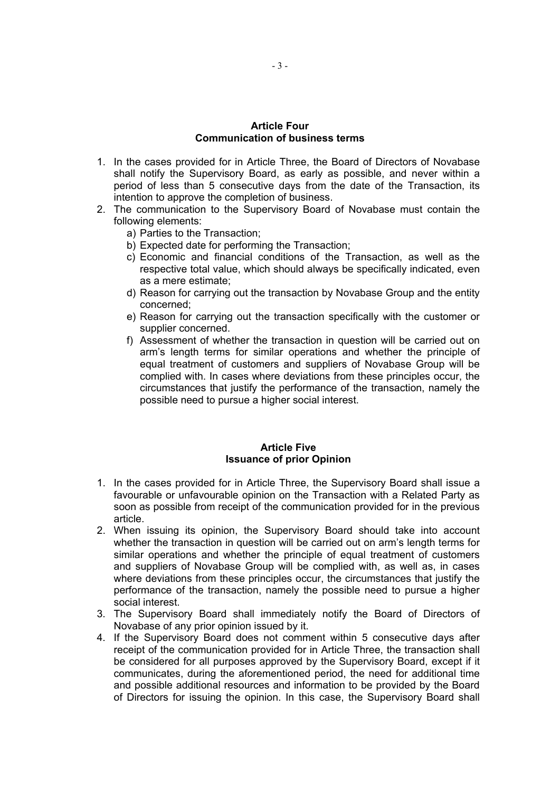#### **Article Four Communication of business terms**

- 1. In the cases provided for in Article Three, the Board of Directors of Novabase shall notify the Supervisory Board, as early as possible, and never within a period of less than 5 consecutive days from the date of the Transaction, its intention to approve the completion of business.
- 2. The communication to the Supervisory Board of Novabase must contain the following elements:
	- a) Parties to the Transaction;
	- b) Expected date for performing the Transaction;
	- c) Economic and financial conditions of the Transaction, as well as the respective total value, which should always be specifically indicated, even as a mere estimate;
	- d) Reason for carrying out the transaction by Novabase Group and the entity concerned;
	- e) Reason for carrying out the transaction specifically with the customer or supplier concerned.
	- f) Assessment of whether the transaction in question will be carried out on arm's length terms for similar operations and whether the principle of equal treatment of customers and suppliers of Novabase Group will be complied with. In cases where deviations from these principles occur, the circumstances that justify the performance of the transaction, namely the possible need to pursue a higher social interest.

### **Article Five Issuance of prior Opinion**

- 1. In the cases provided for in Article Three, the Supervisory Board shall issue a favourable or unfavourable opinion on the Transaction with a Related Party as soon as possible from receipt of the communication provided for in the previous article.
- 2. When issuing its opinion, the Supervisory Board should take into account whether the transaction in question will be carried out on arm's length terms for similar operations and whether the principle of equal treatment of customers and suppliers of Novabase Group will be complied with, as well as, in cases where deviations from these principles occur, the circumstances that justify the performance of the transaction, namely the possible need to pursue a higher social interest.
- 3. The Supervisory Board shall immediately notify the Board of Directors of Novabase of any prior opinion issued by it.
- 4. If the Supervisory Board does not comment within 5 consecutive days after receipt of the communication provided for in Article Three, the transaction shall be considered for all purposes approved by the Supervisory Board, except if it communicates, during the aforementioned period, the need for additional time and possible additional resources and information to be provided by the Board of Directors for issuing the opinion. In this case, the Supervisory Board shall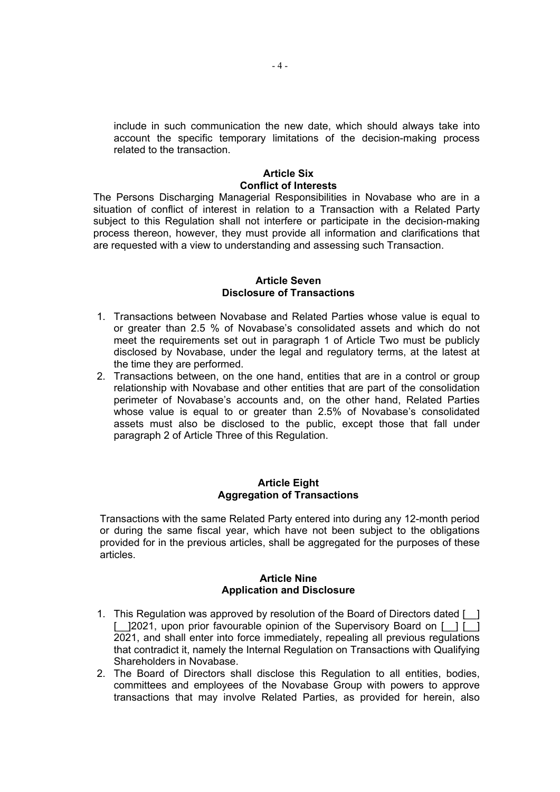include in such communication the new date, which should always take into account the specific temporary limitations of the decision-making process related to the transaction.

# **Article Six Conflict of Interests**

The Persons Discharging Managerial Responsibilities in Novabase who are in a situation of conflict of interest in relation to a Transaction with a Related Party subject to this Regulation shall not interfere or participate in the decision-making process thereon, however, they must provide all information and clarifications that are requested with a view to understanding and assessing such Transaction.

#### **Article Seven Disclosure of Transactions**

- 1. Transactions between Novabase and Related Parties whose value is equal to or greater than 2.5 % of Novabase's consolidated assets and which do not meet the requirements set out in paragraph 1 of Article Two must be publicly disclosed by Novabase, under the legal and regulatory terms, at the latest at the time they are performed.
- 2. Transactions between, on the one hand, entities that are in a control or group relationship with Novabase and other entities that are part of the consolidation perimeter of Novabase's accounts and, on the other hand, Related Parties whose value is equal to or greater than 2.5% of Novabase's consolidated assets must also be disclosed to the public, except those that fall under paragraph 2 of Article Three of this Regulation.

# **Article Eight Aggregation of Transactions**

Transactions with the same Related Party entered into during any 12-month period or during the same fiscal year, which have not been subject to the obligations provided for in the previous articles, shall be aggregated for the purposes of these articles.

# **Article Nine Application and Disclosure**

- 1. This Regulation was approved by resolution of the Board of Directors dated [\_\_] [<sup>2021</sup>, upon prior favourable opinion of the Supervisory Board on [1] [<sup>1</sup>] 2021, and shall enter into force immediately, repealing all previous regulations that contradict it, namely the Internal Regulation on Transactions with Qualifying Shareholders in Novabase.
- 2. The Board of Directors shall disclose this Regulation to all entities, bodies, committees and employees of the Novabase Group with powers to approve transactions that may involve Related Parties, as provided for herein, also